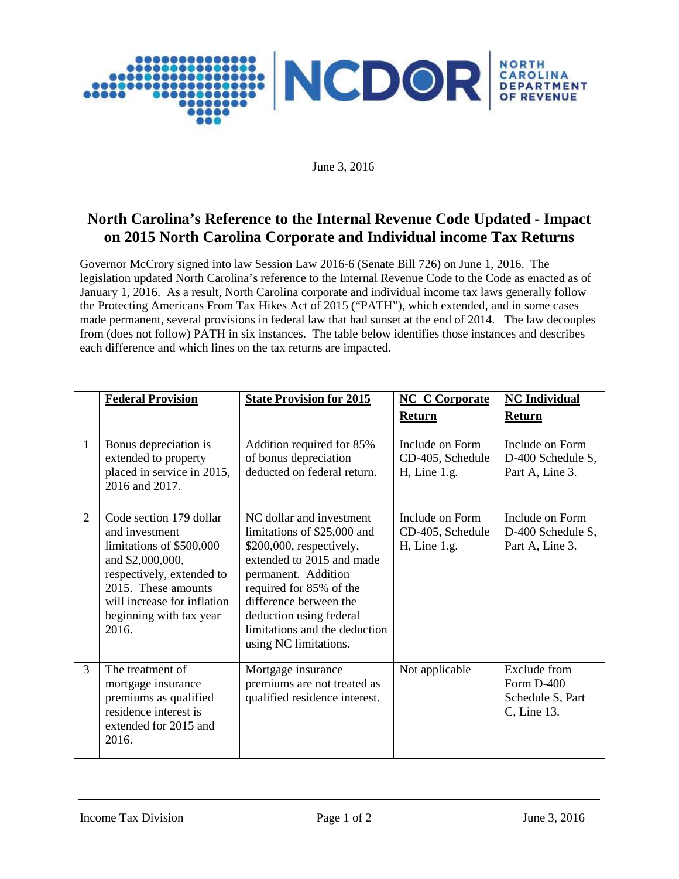

June 3, 2016

# **North Carolina's Reference to the Internal Revenue Code Updated - Impact on 2015 North Carolina Corporate and Individual income Tax Returns**

Governor McCrory signed into law Session Law 2016-6 (Senate Bill 726) on June 1, 2016. The legislation updated North Carolina's reference to the Internal Revenue Code to the Code as enacted as of January 1, 2016. As a result, North Carolina corporate and individual income tax laws generally follow the Protecting Americans From Tax Hikes Act of 2015 ("PATH"), which extended, and in some cases made permanent, several provisions in federal law that had sunset at the end of 2014. The law decouples from (does not follow) PATH in six instances. The table below identifies those instances and describes each difference and which lines on the tax returns are impacted.

|                | <b>Federal Provision</b>                                                                                                                                                                                         | <b>State Provision for 2015</b>                                                                                                                                                                                                                                                   | <b>NC C Corporate</b>                                  | <b>NC</b> Individual                                          |
|----------------|------------------------------------------------------------------------------------------------------------------------------------------------------------------------------------------------------------------|-----------------------------------------------------------------------------------------------------------------------------------------------------------------------------------------------------------------------------------------------------------------------------------|--------------------------------------------------------|---------------------------------------------------------------|
|                |                                                                                                                                                                                                                  |                                                                                                                                                                                                                                                                                   | Return                                                 | Return                                                        |
| 1              | Bonus depreciation is<br>extended to property<br>placed in service in 2015,<br>2016 and 2017.                                                                                                                    | Addition required for 85%<br>of bonus depreciation<br>deducted on federal return.                                                                                                                                                                                                 | Include on Form<br>CD-405, Schedule<br>$H$ , Line 1.g. | Include on Form<br>D-400 Schedule S,<br>Part A, Line 3.       |
| $\overline{2}$ | Code section 179 dollar<br>and investment<br>limitations of \$500,000<br>and \$2,000,000,<br>respectively, extended to<br>2015. These amounts<br>will increase for inflation<br>beginning with tax year<br>2016. | NC dollar and investment<br>limitations of \$25,000 and<br>\$200,000, respectively,<br>extended to 2015 and made<br>permanent. Addition<br>required for 85% of the<br>difference between the<br>deduction using federal<br>limitations and the deduction<br>using NC limitations. | Include on Form<br>CD-405, Schedule<br>$H$ , Line 1.g. | Include on Form<br>D-400 Schedule S,<br>Part A, Line 3.       |
| 3              | The treatment of<br>mortgage insurance<br>premiums as qualified<br>residence interest is<br>extended for 2015 and<br>2016.                                                                                       | Mortgage insurance<br>premiums are not treated as<br>qualified residence interest.                                                                                                                                                                                                | Not applicable                                         | Exclude from<br>Form D-400<br>Schedule S, Part<br>C, Line 13. |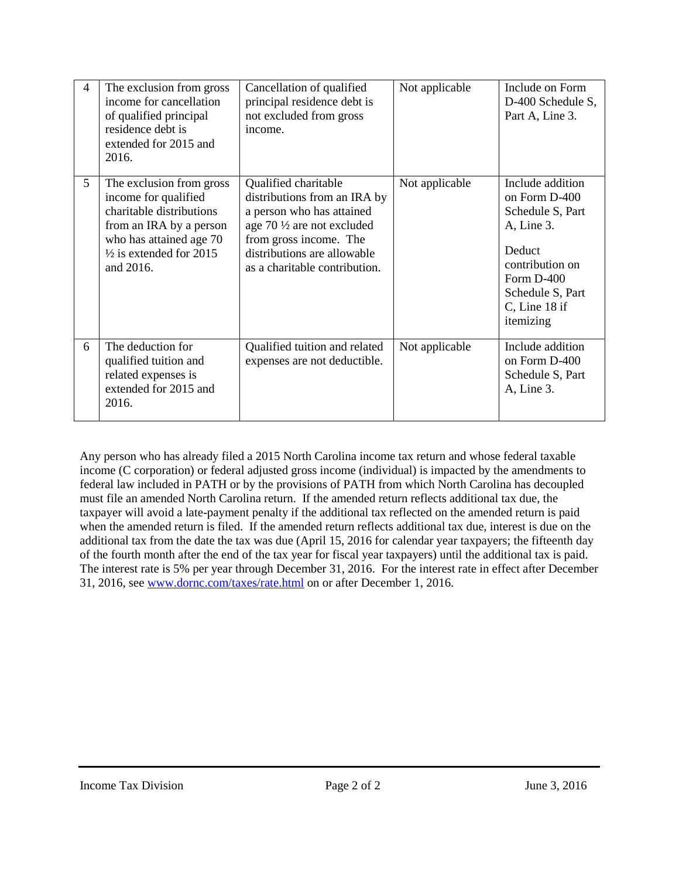| 4              | The exclusion from gross<br>income for cancellation<br>of qualified principal<br>residence debt is<br>extended for 2015 and<br>2016.                                                  | Cancellation of qualified<br>principal residence debt is<br>not excluded from gross<br>income.                                                                                                                      | Not applicable | Include on Form<br>D-400 Schedule S,<br>Part A, Line 3.                                                                                                               |
|----------------|---------------------------------------------------------------------------------------------------------------------------------------------------------------------------------------|---------------------------------------------------------------------------------------------------------------------------------------------------------------------------------------------------------------------|----------------|-----------------------------------------------------------------------------------------------------------------------------------------------------------------------|
| 5 <sup>5</sup> | The exclusion from gross<br>income for qualified<br>charitable distributions<br>from an IRA by a person<br>who has attained age 70<br>$\frac{1}{2}$ is extended for 2015<br>and 2016. | Qualified charitable<br>distributions from an IRA by<br>a person who has attained<br>age $70\frac{1}{2}$ are not excluded<br>from gross income. The<br>distributions are allowable<br>as a charitable contribution. | Not applicable | Include addition<br>on Form D-400<br>Schedule S, Part<br>A, Line 3.<br>Deduct<br>contribution on<br>Form $D-400$<br>Schedule S, Part<br>$C$ , Line 18 if<br>itemizing |
| 6              | The deduction for<br>qualified tuition and<br>related expenses is<br>extended for 2015 and<br>2016.                                                                                   | Qualified tuition and related<br>expenses are not deductible.                                                                                                                                                       | Not applicable | Include addition<br>on Form D-400<br>Schedule S, Part<br>A, Line 3.                                                                                                   |

Any person who has already filed a 2015 North Carolina income tax return and whose federal taxable income (C corporation) or federal adjusted gross income (individual) is impacted by the amendments to federal law included in PATH or by the provisions of PATH from which North Carolina has decoupled must file an amended North Carolina return. If the amended return reflects additional tax due, the taxpayer will avoid a late-payment penalty if the additional tax reflected on the amended return is paid when the amended return is filed. If the amended return reflects additional tax due, interest is due on the additional tax from the date the tax was due (April 15, 2016 for calendar year taxpayers; the fifteenth day of the fourth month after the end of the tax year for fiscal year taxpayers) until the additional tax is paid. The interest rate is 5% per year through December 31, 2016. For the interest rate in effect after December 31, 2016, see www.dornc.com/taxes/rate.html on or after December 1, 2016.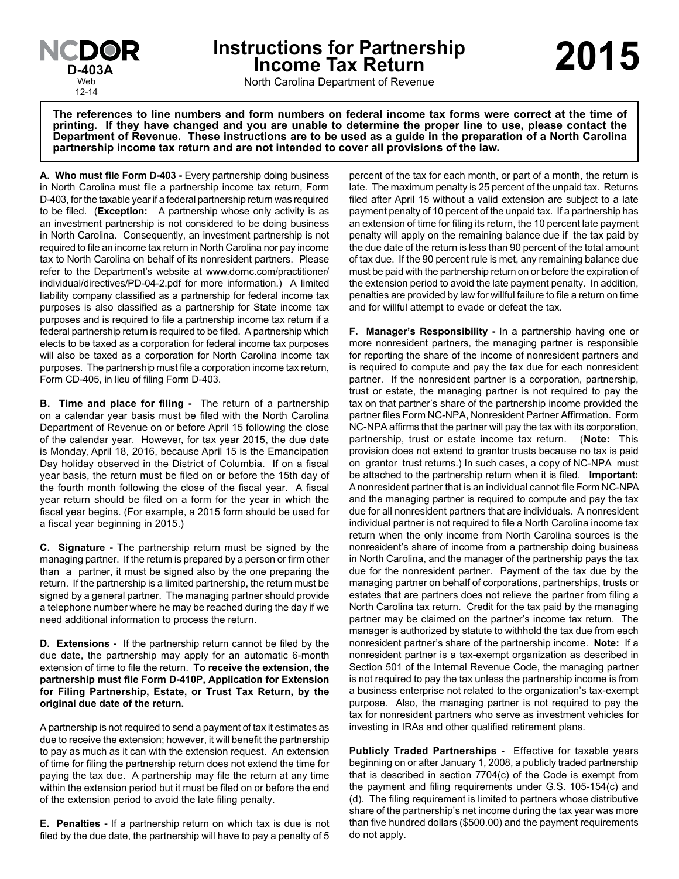

**Instructions for Partnership Income Tax Return D-403A 2015**

North Carolina Department of Revenue

**The references to line numbers and form numbers on federal income tax forms were correct at the time of printing. If they have changed and you are unable to determine the proper line to use, please contact the Department of Revenue. These instructions are to be used as a guide in the preparation of a North Carolina partnership income tax return and are not intended to cover all provisions of the law.**

**A. Who must file Form D-403 -** Every partnership doing business in North Carolina must file a partnership income tax return, Form D-403, for the taxable year if a federal partnership return was required to be filed. (**Exception:** A partnership whose only activity is as an investment partnership is not considered to be doing business in North Carolina. Consequently, an investment partnership is not required to file an income tax return in North Carolina nor pay income tax to North Carolina on behalf of its nonresident partners. Please refer to the Department's website at www.dornc.com/practitioner/ individual/directives/PD-04-2.pdf for more information.) A limited liability company classified as a partnership for federal income tax purposes is also classified as a partnership for State income tax purposes and is required to file a partnership income tax return if a federal partnership return is required to be filed. A partnership which elects to be taxed as a corporation for federal income tax purposes will also be taxed as a corporation for North Carolina income tax purposes. The partnership must file a corporation income tax return, Form CD-405, in lieu of filing Form D-403.

**B. Time and place for filing -** The return of a partnership on a calendar year basis must be filed with the North Carolina Department of Revenue on or before April 15 following the close of the calendar year. However, for tax year 2015, the due date is Monday, April 18, 2016, because April 15 is the Emancipation Day holiday observed in the District of Columbia. If on a fiscal year basis, the return must be filed on or before the 15th day of the fourth month following the close of the fiscal year. A fiscal year return should be filed on a form for the year in which the fiscal year begins. (For example, a 2015 form should be used for a fiscal year beginning in 2015.)

**C. Signature -** The partnership return must be signed by the managing partner. If the return is prepared by a person or firm other than a partner, it must be signed also by the one preparing the return. If the partnership is a limited partnership, the return must be signed by a general partner. The managing partner should provide a telephone number where he may be reached during the day if we need additional information to process the return.

**D. Extensions -** If the partnership return cannot be filed by the due date, the partnership may apply for an automatic 6-month extension of time to file the return. **To receive the extension, the partnership must file Form D-410P, Application for Extension for Filing Partnership, Estate, or Trust Tax Return, by the original due date of the return.**

A partnership is not required to send a payment of tax it estimates as due to receive the extension; however, it will benefit the partnership to pay as much as it can with the extension request. An extension of time for filing the partnership return does not extend the time for paying the tax due. A partnership may file the return at any time within the extension period but it must be filed on or before the end of the extension period to avoid the late filing penalty.

**E. Penalties -** If a partnership return on which tax is due is not filed by the due date, the partnership will have to pay a penalty of 5

percent of the tax for each month, or part of a month, the return is late. The maximum penalty is 25 percent of the unpaid tax. Returns filed after April 15 without a valid extension are subject to a late payment penalty of 10 percent of the unpaid tax. If a partnership has an extension of time for filing its return, the 10 percent late payment penalty will apply on the remaining balance due if the tax paid by the due date of the return is less than 90 percent of the total amount of tax due. If the 90 percent rule is met, any remaining balance due must be paid with the partnership return on or before the expiration of the extension period to avoid the late payment penalty. In addition, penalties are provided by law for willful failure to file a return on time and for willful attempt to evade or defeat the tax.

**F. Manager's Responsibility -** In a partnership having one or more nonresident partners, the managing partner is responsible for reporting the share of the income of nonresident partners and is required to compute and pay the tax due for each nonresident partner. If the nonresident partner is a corporation, partnership, trust or estate, the managing partner is not required to pay the tax on that partner's share of the partnership income provided the partner files Form NC-NPA, Nonresident Partner Affirmation. Form NC-NPA affirms that the partner will pay the tax with its corporation, partnership, trust or estate income tax return. (**Note:** This provision does not extend to grantor trusts because no tax is paid on grantor trust returns.) In such cases, a copy of NC-NPA must be attached to the partnership return when it is filed. **Important:** A nonresident partner that is an individual cannot file Form NC-NPA and the managing partner is required to compute and pay the tax due for all nonresident partners that are individuals. A nonresident individual partner is not required to file a North Carolina income tax return when the only income from North Carolina sources is the nonresident's share of income from a partnership doing business in North Carolina, and the manager of the partnership pays the tax due for the nonresident partner. Payment of the tax due by the managing partner on behalf of corporations, partnerships, trusts or estates that are partners does not relieve the partner from filing a North Carolina tax return. Credit for the tax paid by the managing partner may be claimed on the partner's income tax return. The manager is authorized by statute to withhold the tax due from each nonresident partner's share of the partnership income. **Note:** If a nonresident partner is a tax-exempt organization as described in Section 501 of the Internal Revenue Code, the managing partner is not required to pay the tax unless the partnership income is from a business enterprise not related to the organization's tax-exempt purpose. Also, the managing partner is not required to pay the tax for nonresident partners who serve as investment vehicles for investing in IRAs and other qualified retirement plans.

**Publicly Traded Partnerships -** Effective for taxable years beginning on or after January 1, 2008, a publicly traded partnership that is described in section 7704(c) of the Code is exempt from the payment and filing requirements under G.S. 105-154(c) and (d). The filing requirement is limited to partners whose distributive share of the partnership's net income during the tax year was more than five hundred dollars (\$500.00) and the payment requirements do not apply.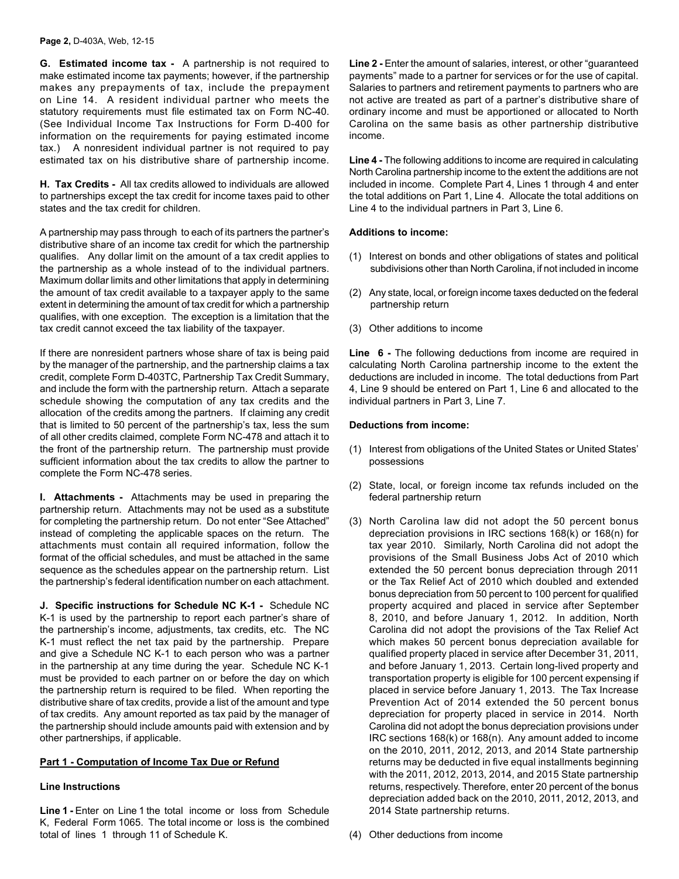**G. Estimated income tax -** A partnership is not required to make estimated income tax payments; however, if the partnership makes any prepayments of tax, include the prepayment on Line 14. A resident individual partner who meets the statutory requirements must file estimated tax on Form NC-40. (See Individual Income Tax Instructions for Form D-400 for information on the requirements for paying estimated income tax.) A nonresident individual partner is not required to pay estimated tax on his distributive share of partnership income.

**H. Tax Credits -** All tax credits allowed to individuals are allowed to partnerships except the tax credit for income taxes paid to other states and the tax credit for children.

A partnership may pass through to each of its partners the partner's distributive share of an income tax credit for which the partnership qualifies. Any dollar limit on the amount of a tax credit applies to the partnership as a whole instead of to the individual partners. Maximum dollar limits and other limitations that apply in determining the amount of tax credit available to a taxpayer apply to the same extent in determining the amount of tax credit for which a partnership qualifies, with one exception. The exception is a limitation that the tax credit cannot exceed the tax liability of the taxpayer.

If there are nonresident partners whose share of tax is being paid by the manager of the partnership, and the partnership claims a tax credit, complete Form D-403TC, Partnership Tax Credit Summary, and include the form with the partnership return. Attach a separate schedule showing the computation of any tax credits and the allocation of the credits among the partners. If claiming any credit that is limited to 50 percent of the partnership's tax, less the sum of all other credits claimed, complete Form NC-478 and attach it to the front of the partnership return. The partnership must provide sufficient information about the tax credits to allow the partner to complete the Form NC-478 series.

**I. Attachments -** Attachments may be used in preparing the partnership return. Attachments may not be used as a substitute for completing the partnership return. Do not enter "See Attached" instead of completing the applicable spaces on the return. The attachments must contain all required information, follow the format of the official schedules, and must be attached in the same sequence as the schedules appear on the partnership return. List the partnership's federal identification number on each attachment.

**J. Specific instructions for Schedule NC K-1 -** Schedule NC K-1 is used by the partnership to report each partner's share of the partnership's income, adjustments, tax credits, etc. The NC K-1 must reflect the net tax paid by the partnership. Prepare and give a Schedule NC K-1 to each person who was a partner in the partnership at any time during the year. Schedule NC K-1 must be provided to each partner on or before the day on which the partnership return is required to be filed. When reporting the distributive share of tax credits, provide a list of the amount and type of tax credits. Any amount reported as tax paid by the manager of the partnership should include amounts paid with extension and by other partnerships, if applicable.

### **Part 1 - Computation of Income Tax Due or Refund**

### **Line Instructions**

Line 1 - Enter on Line 1 the total income or loss from Schedule K, Federal Form 1065. The total income or loss is the combined total of lines 1 through 11 of Schedule K.

Line 2 - Enter the amount of salaries, interest, or other "guaranteed" payments" made to a partner for services or for the use of capital. Salaries to partners and retirement payments to partners who are not active are treated as part of a partner's distributive share of ordinary income and must be apportioned or allocated to North Carolina on the same basis as other partnership distributive income.

**Line 4 -** The following additions to income are required in calculating North Carolina partnership income to the extent the additions are not included in income. Complete Part 4, Lines 1 through 4 and enter the total additions on Part 1, Line 4. Allocate the total additions on Line 4 to the individual partners in Part 3, Line 6.

# **Additions to income:**

- (1) Interest on bonds and other obligations of states and political subdivisions other than North Carolina, if not included in income
- (2) Any state, local, or foreign income taxes deducted on the federal partnership return
- (3) Other additions to income

**Line 6 -** The following deductions from income are required in calculating North Carolina partnership income to the extent the deductions are included in income. The total deductions from Part 4, Line 9 should be entered on Part 1, Line 6 and allocated to the individual partners in Part 3, Line 7.

# **Deductions from income:**

- (1) Interest from obligations of the United States or United States' possessions
- (2) State, local, or foreign income tax refunds included on the federal partnership return
- (3) North Carolina law did not adopt the 50 percent bonus depreciation provisions in IRC sections 168(k) or 168(n) for tax year 2010. Similarly, North Carolina did not adopt the provisions of the Small Business Jobs Act of 2010 which extended the 50 percent bonus depreciation through 2011 or the Tax Relief Act of 2010 which doubled and extended bonus depreciation from 50 percent to 100 percent for qualified property acquired and placed in service after September 8, 2010, and before January 1, 2012. In addition, North Carolina did not adopt the provisions of the Tax Relief Act which makes 50 percent bonus depreciation available for qualified property placed in service after December 31, 2011, and before January 1, 2013. Certain long-lived property and transportation property is eligible for 100 percent expensing if placed in service before January 1, 2013. The Tax Increase Prevention Act of 2014 extended the 50 percent bonus depreciation for property placed in service in 2014. North Carolina did not adopt the bonus depreciation provisions under IRC sections 168(k) or 168(n). Any amount added to income on the 2010, 2011, 2012, 2013, and 2014 State partnership returns may be deducted in five equal installments beginning with the 2011, 2012, 2013, 2014, and 2015 State partnership returns, respectively. Therefore, enter 20 percent of the bonus depreciation added back on the 2010, 2011, 2012, 2013, and 2014 State partnership returns.
- (4) Other deductions from income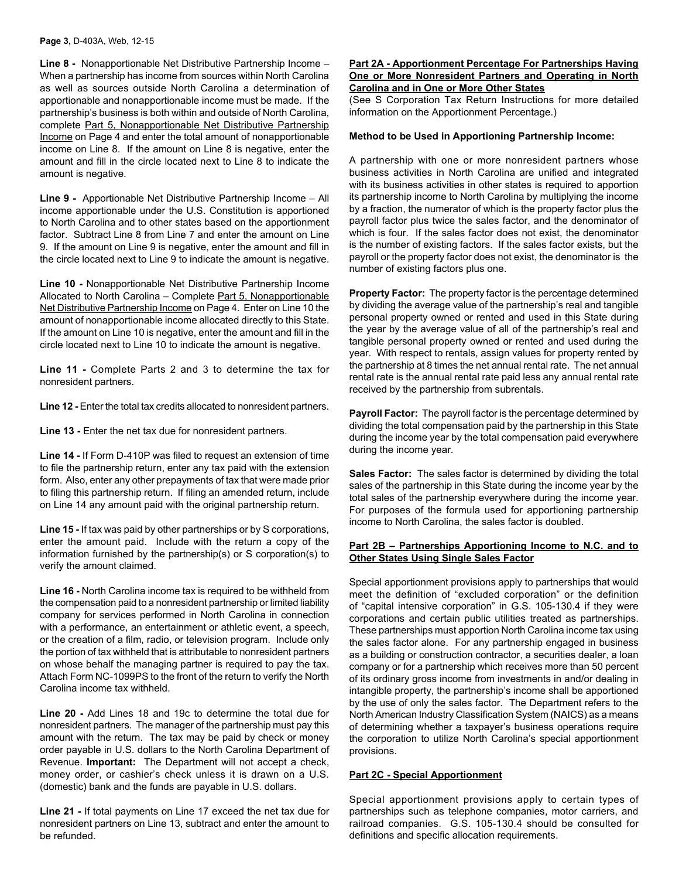**Line 8 -** Nonapportionable Net Distributive Partnership Income – When a partnership has income from sources within North Carolina as well as sources outside North Carolina a determination of apportionable and nonapportionable income must be made. If the partnership's business is both within and outside of North Carolina, complete Part 5, Nonapportionable Net Distributive Partnership Income on Page 4 and enter the total amount of nonapportionable income on Line 8. If the amount on Line 8 is negative, enter the amount and fill in the circle located next to Line 8 to indicate the amount is negative.

**Line 9 -** Apportionable Net Distributive Partnership Income – All income apportionable under the U.S. Constitution is apportioned to North Carolina and to other states based on the apportionment factor. Subtract Line 8 from Line 7 and enter the amount on Line 9. If the amount on Line 9 is negative, enter the amount and fill in the circle located next to Line 9 to indicate the amount is negative.

**Line 10 -** Nonapportionable Net Distributive Partnership Income Allocated to North Carolina – Complete Part 5, Nonapportionable Net Distributive Partnership Income on Page 4. Enter on Line 10 the amount of nonapportionable income allocated directly to this State. If the amount on Line 10 is negative, enter the amount and fill in the circle located next to Line 10 to indicate the amount is negative.

**Line 11 -** Complete Parts 2 and 3 to determine the tax for nonresident partners.

**Line 12 -** Enter the total tax credits allocated to nonresident partners.

**Line 13 -** Enter the net tax due for nonresident partners.

**Line 14 -** If Form D-410P was filed to request an extension of time to file the partnership return, enter any tax paid with the extension form. Also, enter any other prepayments of tax that were made prior to filing this partnership return. If filing an amended return, include on Line 14 any amount paid with the original partnership return.

**Line 15 -** If tax was paid by other partnerships or by S corporations, enter the amount paid. Include with the return a copy of the information furnished by the partnership(s) or S corporation(s) to verify the amount claimed.

**Line 16 -** North Carolina income tax is required to be withheld from the compensation paid to a nonresident partnership or limited liability company for services performed in North Carolina in connection with a performance, an entertainment or athletic event, a speech, or the creation of a film, radio, or television program. Include only the portion of tax withheld that is attributable to nonresident partners on whose behalf the managing partner is required to pay the tax. Attach Form NC-1099PS to the front of the return to verify the North Carolina income tax withheld.

**Line 20 -** Add Lines 18 and 19c to determine the total due for nonresident partners. The manager of the partnership must pay this amount with the return. The tax may be paid by check or money order payable in U.S. dollars to the North Carolina Department of Revenue. **Important:** The Department will not accept a check, money order, or cashier's check unless it is drawn on a U.S. (domestic) bank and the funds are payable in U.S. dollars.

**Line 21 -** If total payments on Line 17 exceed the net tax due for nonresident partners on Line 13, subtract and enter the amount to be refunded.

#### **Part 2A - Apportionment Percentage For Partnerships Having One or More Nonresident Partners and Operating in North Carolina and in One or More Other States**

(See S Corporation Tax Return Instructions for more detailed information on the Apportionment Percentage.)

#### **Method to be Used in Apportioning Partnership Income:**

A partnership with one or more nonresident partners whose business activities in North Carolina are unified and integrated with its business activities in other states is required to apportion its partnership income to North Carolina by multiplying the income by a fraction, the numerator of which is the property factor plus the payroll factor plus twice the sales factor, and the denominator of which is four. If the sales factor does not exist, the denominator is the number of existing factors. If the sales factor exists, but the payroll or the property factor does not exist, the denominator is the number of existing factors plus one.

**Property Factor:** The property factor is the percentage determined by dividing the average value of the partnership's real and tangible personal property owned or rented and used in this State during the year by the average value of all of the partnership's real and tangible personal property owned or rented and used during the year. With respect to rentals, assign values for property rented by the partnership at 8 times the net annual rental rate. The net annual rental rate is the annual rental rate paid less any annual rental rate received by the partnership from subrentals.

**Payroll Factor:** The payroll factor is the percentage determined by dividing the total compensation paid by the partnership in this State during the income year by the total compensation paid everywhere during the income year.

**Sales Factor:** The sales factor is determined by dividing the total sales of the partnership in this State during the income year by the total sales of the partnership everywhere during the income year. For purposes of the formula used for apportioning partnership income to North Carolina, the sales factor is doubled.

### **Part 2B – Partnerships Apportioning Income to N.C. and to Other States Using Single Sales Factor**

Special apportionment provisions apply to partnerships that would meet the definition of "excluded corporation" or the definition of "capital intensive corporation" in G.S. 105-130.4 if they were corporations and certain public utilities treated as partnerships. These partnerships must apportion North Carolina income tax using the sales factor alone. For any partnership engaged in business as a building or construction contractor, a securities dealer, a loan company or for a partnership which receives more than 50 percent of its ordinary gross income from investments in and/or dealing in intangible property, the partnership's income shall be apportioned by the use of only the sales factor. The Department refers to the North American Industry Classification System (NAICS) as a means of determining whether a taxpayer's business operations require the corporation to utilize North Carolina's special apportionment provisions.

# **Part 2C - Special Apportionment**

Special apportionment provisions apply to certain types of partnerships such as telephone companies, motor carriers, and railroad companies. G.S. 105-130.4 should be consulted for definitions and specific allocation requirements.